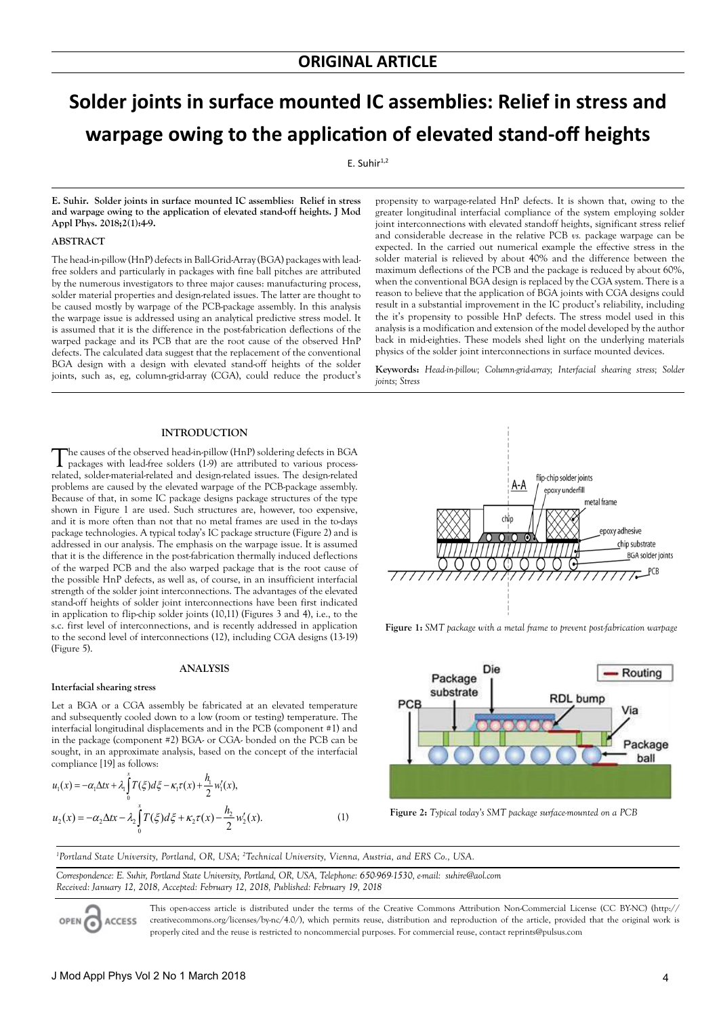# **Solder joints in surface mounted IC assemblies: Relief in stress and warpage owing to the application of elevated stand-off heights**

 $E.$  Suhir $^{1,2}$ 

**E. Suhir. Solder joints in surface mounted IC assemblies: Relief in stress and warpage owing to the application of elevated stand-off heights. J Mod Appl Phys. 2018;2(1):4-9.**

## **ABSTRACT**

The head-in-pillow (HnP) defects in Ball-Grid-Array (BGA) packages with leadfree solders and particularly in packages with fine ball pitches are attributed by the numerous investigators to three major causes: manufacturing process, solder material properties and design-related issues. The latter are thought to be caused mostly by warpage of the PCB-package assembly. In this analysis the warpage issue is addressed using an analytical predictive stress model. It is assumed that it is the difference in the post-fabrication deflections of the warped package and its PCB that are the root cause of the observed HnP defects. The calculated data suggest that the replacement of the conventional BGA design with a design with elevated stand-off heights of the solder joints, such as, eg, column-grid-array (CGA), could reduce the product's

propensity to warpage-related HnP defects. It is shown that, owing to the greater longitudinal interfacial compliance of the system employing solder joint interconnections with elevated standoff heights, significant stress relief and considerable decrease in the relative PCB *vs.* package warpage can be expected. In the carried out numerical example the effective stress in the solder material is relieved by about 40% and the difference between the maximum deflections of the PCB and the package is reduced by about 60%, when the conventional BGA design is replaced by the CGA system. There is a reason to believe that the application of BGA joints with CGA designs could result in a substantial improvement in the IC product's reliability, including the it's propensity to possible HnP defects. The stress model used in this analysis is a modification and extension of the model developed by the author back in mid-eighties. These models shed light on the underlying materials physics of the solder joint interconnections in surface mounted devices.

**Keywords:** *Head-in-pillow; Column-grid-array; Interfacial shearing stress; Solder joints; Stress*

## **INTRODUCTION**

The causes of the observed head-in-pillow (HnP) soldering defects in BGA packages with lead-free solders (1-9) are attributed to various processrelated, solder-material-related and design-related issues. The design-related problems are caused by the elevated warpage of the PCB-package assembly. Because of that, in some IC package designs package structures of the type shown in Figure 1 are used. Such structures are, however, too expensive, and it is more often than not that no metal frames are used in the to-days package technologies. A typical today's IC package structure (Figure 2) and is addressed in our analysis. The emphasis on the warpage issue. It is assumed that it is the difference in the post-fabrication thermally induced deflections of the warped PCB and the also warped package that is the root cause of the possible HnP defects, as well as, of course, in an insufficient interfacial strength of the solder joint interconnections. The advantages of the elevated stand-off heights of solder joint interconnections have been first indicated in application to flip-chip solder joints (10,11) (Figures 3 and 4), i.e., to the s.c. first level of interconnections, and is recently addressed in application to the second level of interconnections (12), including CGA designs (13-19) (Figure 5).

### **ANALYSIS**

#### **Interfacial shearing stress**

Let a BGA or a CGA assembly be fabricated at an elevated temperature and subsequently cooled down to a low (room or testing) temperature. The interfacial longitudinal displacements and in the PCB (component #1) and in the package (component #2) BGA- or CGA- bonded on the PCB can be sought, in an approximate analysis, based on the concept of the interfacial compliance [19] as follows:

$$
u_1(x) = -\alpha_1 \Delta t x + \lambda_1 \int_0^x T(\xi) d\xi - \kappa_1 \tau(x) + \frac{h_1}{2} w_1'(x),
$$
  

$$
u_2(x) = -\alpha_2 \Delta t x - \lambda_2 \int_0^x T(\xi) d\xi + \kappa_2 \tau(x) - \frac{h_2}{2} w_2'(x).
$$
 (1)



**Figure 1:** *SMT package with a metal frame to prevent post-fabrication warpage*



**Figure 2:** *Typical today's SMT package surface-mounted on a PCB*

*1 Portland State University, Portland, OR, USA; 2 Technical University, Vienna, Austria, and ERS Co., USA.*

*Correspondence: E. Suhir, Portland State University, Portland, OR, USA, Telephone: 650-969-1530, e-mail: suhire@aol.com Received: January 12, 2018, Accepted: February 12, 2018, Published: February 19, 2018*



This open-access article is distributed under the terms of the Creative Commons Attribution Non-Commercial License (CC BY-NC) (http:// creativecommons.org/licenses/by-nc/4.0/), which permits reuse, distribution and reproduction of the article, provided that the original work is properly cited and the reuse is restricted to noncommercial purposes. For commercial reuse, contact reprints@pulsus.com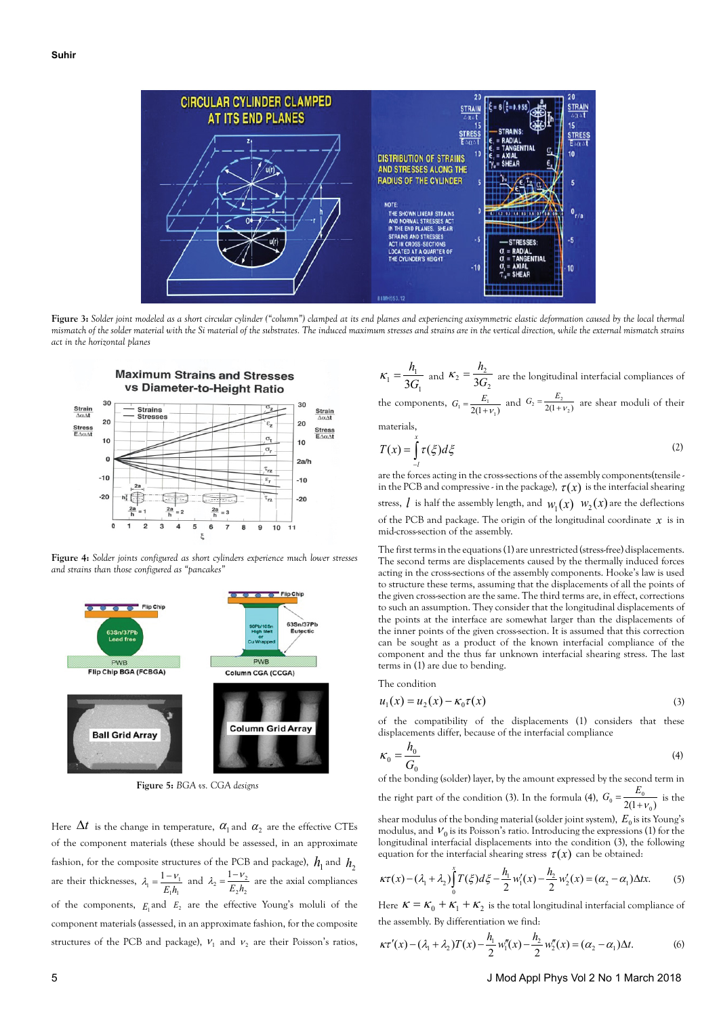

**Figure 3:** *Solder joint modeled as a short circular cylinder ("column") clamped at its end planes and experiencing axisymmetric elastic deformation caused by the local thermal mismatch of the solder material with the Si material of the substrates. The induced maximum stresses and strains are in the vertical direction, while the external mismatch strains act in the horizontal planes*



**Figure 4:** *Solder joints configured as short cylinders experience much lower stresses and strains than those configured as "pancakes"*



**Figure 5:** *BGA vs. CGA designs*

Here  $\Delta t$  is the change in temperature,  $\alpha_1$  and  $\alpha_2$  are the effective CTEs of the component materials (these should be assessed, in an approximate fashion, for the composite structures of the PCB and package),  $h_1$  and  $h_2$ are their thicknesses,  $1^{\prime}$ <sup>1</sup>  $v_1 = \frac{1 - v_1}{E}$  $\lambda_1 = \frac{1 - \nu_1}{E_1 h_1}$  and  $\lambda_2 = \frac{1 - \nu_2}{E_2 h_2}$  $v_2 = \frac{1 - v_2}{E L}$  $\lambda_2 = \frac{1 - v_2}{E_2 h_2}$  are the axial compliances of the components,  $E_1$  and  $E_2$  are the effective Young's moluli of the component materials (assessed, in an approximate fashion, for the composite structures of the PCB and package),  $v_1$  and  $v_2$  are their Poisson's ratios,

1  $\frac{n_1}{3G}$  $\kappa_1 = \frac{h_1}{3G_1}$  and  $\kappa_2 = \frac{h_2}{3G_2}$  $\frac{r_2}{^2} = \frac{n_2}{3G}$  $\kappa_2 = \frac{h_2}{2C}$  are the longitudinal interfacial compliances of the components,  $G_1 = \frac{E_1}{2(1 + v_1)}$  and  $G_2 = \frac{E_2}{2(1 + v_2)}$  are shear moduli of their

materials,

$$
T(x) = \int_{-l}^{x} \tau(\xi) d\xi
$$
 (2)

are the forces acting in the cross-sections of the assembly components(tensile in the PCB and compressive - in the package),  $\tau(x)$  is the interfacial shearing stress, *l* is half the assembly length, and  $w_1(x)$   $w_2(x)$  are the deflections of the PCB and package. The origin of the longitudinal coordinate  $\boldsymbol{\chi}$  is in mid-cross-section of the assembly.

The first terms in the equations (1) are unrestricted (stress-free) displacements. The second terms are displacements caused by the thermally induced forces acting in the cross-sections of the assembly components. Hooke's law is used to structure these terms, assuming that the displacements of all the points of the given cross-section are the same. The third terms are, in effect, corrections to such an assumption. They consider that the longitudinal displacements of the points at the interface are somewhat larger than the displacements of the inner points of the given cross-section. It is assumed that this correction can be sought as a product of the known interfacial compliance of the component and the thus far unknown interfacial shearing stress. The last terms in (1) are due to bending.

The condition

$$
u_1(x) = u_2(x) - \kappa_0 \tau(x) \tag{3}
$$

of the compatibility of the displacements (1) considers that these displacements differ, because of the interfacial compliance

$$
\kappa_0 = \frac{h_0}{G_0} \tag{4}
$$

of the bonding (solder) layer, by the amount expressed by the second term in the right part of the condition (3). In the formula (4),  $G_0 = \frac{E_0}{2(1 + v_0)}$  is the

shear modulus of the bonding material (solder joint system),  $E_0$  is its Young's modulus, and  $V_0$  is its Poisson's ratio. Introducing the expressions (1) for the longitudinal interfacial displacements into the condition (3), the following equation for the interfacial shearing stress  $\tau(x)$  can be obtained:

$$
\kappa \tau(x) - (\lambda_1 + \lambda_2) \int_0^x T(\xi) d\xi - \frac{h_1}{2} w_1'(x) - \frac{h_2}{2} w_2'(x) = (\alpha_2 - \alpha_1) \Delta t x. \tag{5}
$$

Here  $\kappa = \kappa_0 + \kappa_1 + \kappa_2$  is the total longitudinal interfacial compliance of the assembly. By differentiation we find:

$$
\kappa \tau'(x) - (\lambda_1 + \lambda_2) T(x) - \frac{h_1}{2} w_1''(x) - \frac{h_2}{2} w_2''(x) = (\alpha_2 - \alpha_1) \Delta t.
$$
 (6)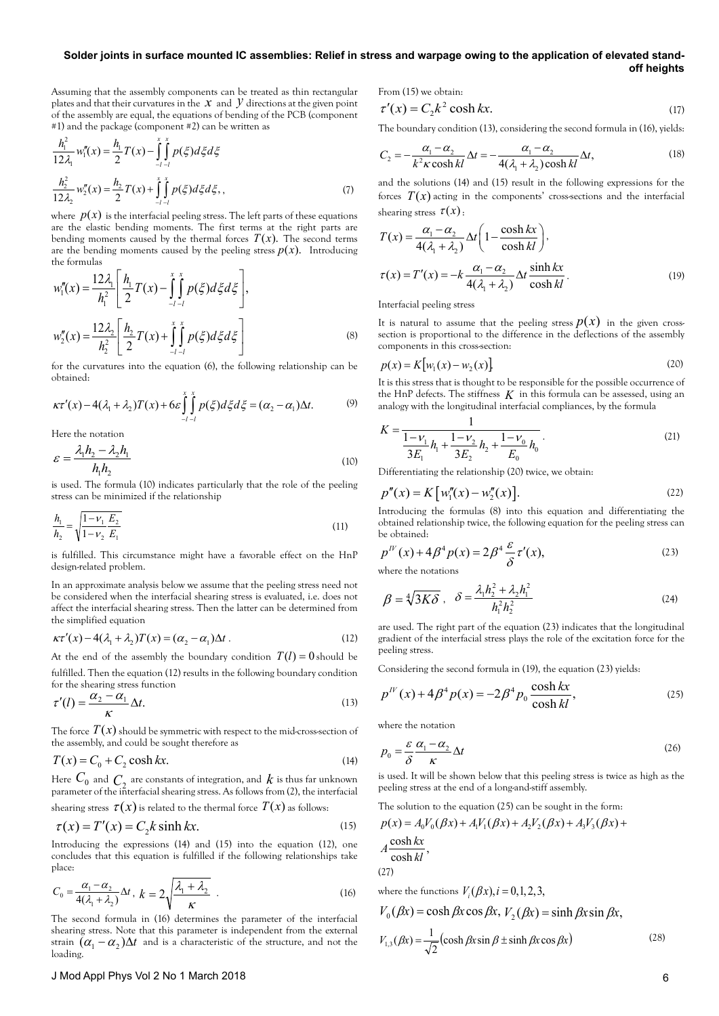# **Solder joints in surface mounted IC assemblies: Relief in stress and warpage owing to the application of elevated standoff heights**

Assuming that the assembly components can be treated as thin rectangular plates and that their curvatures in the  $x$  and  $y$  directions at the given point of the assembly are equal, the equations of bending of the PCB (component #1) and the package (component #2) can be written as

$$
\frac{h_1^2}{12\lambda_1} w_1''(x) = \frac{h_1}{2} T(x) - \int_{-l-l}^{x} \int_{-l-l}^{x} p(\xi) d\xi d\xi
$$
  

$$
\frac{h_2^2}{12\lambda_2} w_2''(x) = \frac{h_2}{2} T(x) + \int_{-l-l}^{x} \int_{-l-l}^{x} p(\xi) d\xi d\xi,
$$
 (7)

where  $p(x)$  is the interfacial peeling stress. The left parts of these equations are the elastic bending moments. The first terms at the right parts are bending moments caused by the thermal forces  $T(x)$ . The second terms are the bending moments caused by the peeling stress  $p(x)$ . Introducing the formulas

$$
w_1'''(x) = \frac{12\lambda_1}{h_1^2} \left[ \frac{h_1}{2} T(x) - \int_{-l-1}^{x} \int_{-l}^{x} p(\xi) d\xi d\xi \right],
$$
  

$$
w_2''(x) = \frac{12\lambda_2}{h_2^2} \left[ \frac{h_2}{2} T(x) + \int_{-l-1}^{x} \int_{-l}^{x} p(\xi) d\xi d\xi \right]
$$
(8)

for the curvatures into the equation (6), the following relationship can be obtained:

$$
\kappa\tau'(x) - 4(\lambda_1 + \lambda_2)T(x) + 6\varepsilon \int_{-l-l}^{x} p(\xi)d\xi d\xi = (\alpha_2 - \alpha_1)\Delta t. \tag{9}
$$

Here the notation

$$
\mathcal{E} = \frac{\lambda_1 h_2 - \lambda_2 h_1}{h_1 h_2} \tag{10}
$$

is used. The formula (10) indicates particularly that the role of the peeling stress can be minimized if the relationship

$$
\frac{h_1}{h_2} = \sqrt{\frac{1 - \nu_1}{1 - \nu_2} \frac{E_2}{E_1}}
$$
\n(11)

is fulfilled. This circumstance might have a favorable effect on the HnP design-related problem.

In an approximate analysis below we assume that the peeling stress need not be considered when the interfacial shearing stress is evaluated, i.e. does not affect the interfacial shearing stress. Then the latter can be determined from the simplified equation

$$
\kappa \tau'(x) - 4(\lambda_1 + \lambda_2)T(x) = (\alpha_2 - \alpha_1)\Delta t. \tag{12}
$$

At the end of the assembly the boundary condition  $T(l) = 0$  should be fulfilled. Then the equation (12) results in the following boundary condition

for the shearing stress function  
\n
$$
\tau'(l) = \frac{\alpha_2 - \alpha_1}{l} \Delta t.
$$
\n(13)

$$
\tau'(l) = \frac{1}{K} \Delta t. \tag{13}
$$

The force  $T(x)$  should be symmetric with respect to the mid-cross-section of the assembly, and could be sought therefore as

$$
T(x) = C_0 + C_2 \cosh kx.
$$
 (14)

Here  $C_0$  and  $C_\lambda$  are constants of integration, and  $k$  is thus far unknown parameter of the interfacial shearing stress. As follows from (2), the interfacial shearing stress  $\tau(x)$  is related to the thermal force  $T(x)$  as follows:

$$
\tau(x) = T'(x) = C_2 k \sinh kx.
$$
 (15)

Introducing the expressions (14) and (15) into the equation (12), one concludes that this equation is fulfilled if the following relationships take place:

$$
C_0 = \frac{\alpha_1 - \alpha_2}{4(\lambda_1 + \lambda_2)} \Delta t, \ k = 2 \sqrt{\frac{\lambda_1 + \lambda_2}{\kappa}} \tag{16}
$$

The second formula in (16) determines the parameter of the interfacial shearing stress. Note that this parameter is independent from the external strain  $(\alpha_1 - \alpha_2)\Delta t$  and is a characteristic of the structure, and not the loading.

From (15) we obtain:

$$
\tau'(x) = C_2 k^2 \cosh kx. \tag{17}
$$

The boundary condition (13), considering the second formula in (16), yields:

$$
C_2 = -\frac{\alpha_1 - \alpha_2}{k^2 \kappa \cosh kl} \Delta t = -\frac{\alpha_1 - \alpha_2}{4(\lambda_1 + \lambda_2) \cosh kl} \Delta t,
$$
 (18)

and the solutions (14) and (15) result in the following expressions for the forces  $T(x)$  acting in the components' cross-sections and the interfacial shearing stress  $\tau(x)$ :

$$
T(x) = \frac{\alpha_1 - \alpha_2}{4(\lambda_1 + \lambda_2)} \Delta t \left( 1 - \frac{\cosh kx}{\cosh kl} \right),
$$
  

$$
\tau(x) = T'(x) = -k \frac{\alpha_1 - \alpha_2}{4(\lambda_1 + \lambda_2)} \Delta t \frac{\sinh kx}{\cosh kl}.
$$
 (19)

Interfacial peeling stress

It is natural to assume that the peeling stress  $p(x)$  in the given crosssection is proportional to the difference in the deflections of the assembly components in this cross-section:

$$
p(x) = K\big[\,w_1(x) - w_2(x)\,\big] \tag{20}
$$

It is this stress that is thought to be responsible for the possible occurrence of the HnP defects. The stiffness  $K$  in this formula can be assessed, using an analogy with the longitudinal interfacial compliances, by the formula

$$
K = \frac{1}{\frac{1 - V_1}{3E_1} h_1 + \frac{1 - V_2}{3E_2} h_2 + \frac{1 - V_0}{E_0} h_0}.
$$
\n(21)

Differentiating the relationship (20) twice, we obtain:

$$
p''(x) = K [w_1''(x) - w_2''(x)].
$$
\n(22)

Introducing the formulas (8) into this equation and differentiating the obtained relationship twice, the following equation for the peeling stress can be obtained:

$$
p^{IV}(x) + 4\beta^4 p(x) = 2\beta^4 \frac{\varepsilon}{\delta} \tau'(x),
$$
\nwhere the patterns

\n
$$
p^{IV}(x) = 2\beta^4 \frac{\varepsilon}{\delta} \tau'(x),
$$
\n(23)

where the notations

$$
\beta = \sqrt[4]{3K\delta} , \quad \delta = \frac{\lambda_1 h_2^2 + \lambda_2 h_1^2}{h_1^2 h_2^2}
$$
 (24)

are used. The right part of the equation (23) indicates that the longitudinal gradient of the interfacial stress plays the role of the excitation force for the peeling stress.

Considering the second formula in (19), the equation (23) yields:

$$
p^{IV}(x) + 4\beta^4 p(x) = -2\beta^4 p_0 \frac{\cosh kx}{\cosh kl},
$$
 (25)

where the notation

$$
p_0 = \frac{\varepsilon}{\delta} \frac{\alpha_1 - \alpha_2}{\kappa} \Delta t \tag{26}
$$

is used. It will be shown below that this peeling stress is twice as high as the peeling stress at the end of a long-and-stiff assembly.

The solution to the equation (25) can be sought in the form:

$$
p(x) = A_0 V_0(\beta x) + A_1 V_1(\beta x) + A_2 V_2(\beta x) + A_3 V_3(\beta x) +
$$
  
cosh kx

$$
A \frac{\cosh kx}{\cosh kl},
$$
 (27)

where the functions  $V_i(\beta x)$ ,  $i = 0,1,2,3$ ,

$$
V_0(\beta x) = \cosh \beta x \cos \beta x, V_2(\beta x) = \sinh \beta x \sin \beta x,
$$
  

$$
V_{1,3}(\beta x) = \frac{1}{\sqrt{2}} (\cosh \beta x \sin \beta \pm \sinh \beta x \cos \beta x)
$$
 (28)

# J Mod Appl Phys Vol 2 No 1 March 2018 6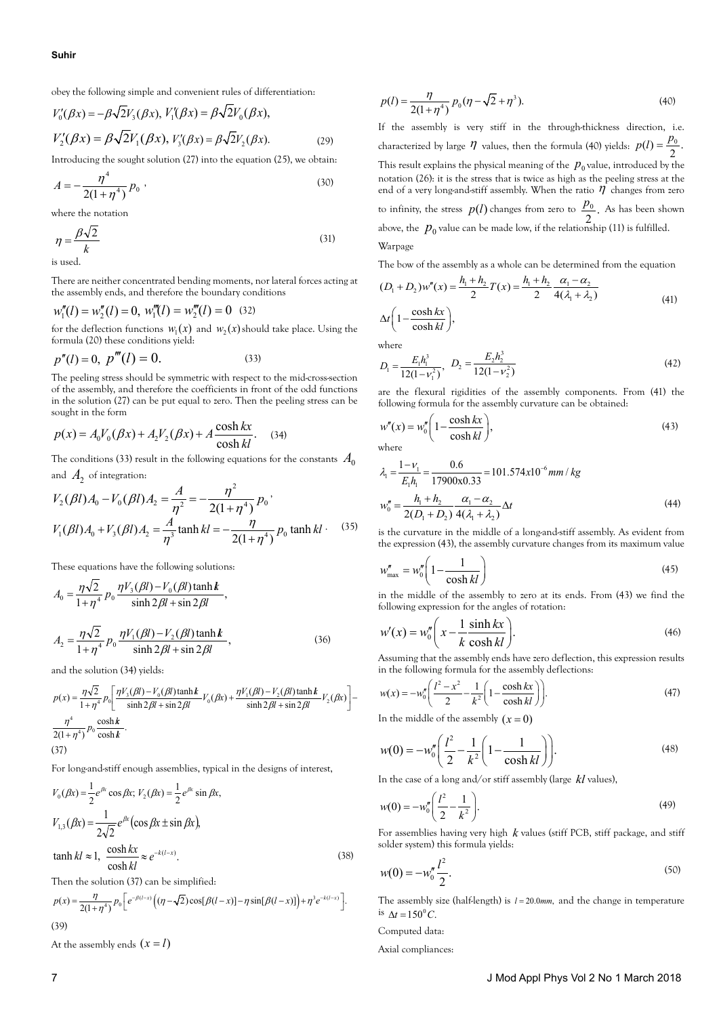obey the following simple and convenient rules of differentiation:

$$
V'_0(\beta x) = -\beta \sqrt{2} V_3(\beta x), V'_1(\beta x) = \beta \sqrt{2} V_0(\beta x),
$$
  

$$
V'_2(\beta x) = \beta \sqrt{2} V_1(\beta x), V'_3(\beta x) = \beta \sqrt{2} V_2(\beta x).
$$
 (29)

Introducing the sought solution (27) into the equation (25), we obtain:

$$
A = -\frac{\eta^4}{2(1+\eta^4)} p_0 , \qquad (30)
$$

where the notation

$$
\eta = \frac{\beta \sqrt{2}}{k} \tag{31}
$$

is used.

There are neither concentrated bending moments, nor lateral forces acting at the assembly ends, and therefore the boundary conditions

$$
w_1'''(l) = w_2''(l) = 0, \ w_1'''(l) = w_2'''(l) = 0 \quad (32)
$$

for the deflection functions  $w_1(x)$  and  $w_2(x)$  should take place. Using the formula (20) these conditions yield:

$$
p''(l) = 0, \ p'''(l) = 0.
$$
 (33)

The peeling stress should be symmetric with respect to the mid-cross-section of the assembly, and therefore the coefficients in front of the odd functions in the solution (27) can be put equal to zero. Then the peeling stress can be sought in the form

$$
p(x) = A_0 V_0(\beta x) + A_2 V_2(\beta x) + A \frac{\cosh kx}{\cosh kl}.
$$
 (34)

The conditions (33) result in the following equations for the constants  $A_0$ and  $A_2$  of integration:

$$
V_2(\beta l) A_0 - V_0(\beta l) A_2 = \frac{A}{\eta^2} = -\frac{\eta^2}{2(1+\eta^4)} p_0,
$$
  

$$
V_1(\beta l) A_0 + V_3(\beta l) A_2 = \frac{A}{\eta^3} \tanh kl = -\frac{\eta}{2(1+\eta^4)} p_0 \tanh kl.
$$
 (35)

These equations have the following solutions:

$$
A_0 = \frac{\eta \sqrt{2}}{1 + \eta^4} p_0 \frac{\eta V_3(\beta l) - V_0(\beta l) \tanh k}{\sinh 2\beta l + \sin 2\beta l},
$$
  

$$
A_2 = \frac{\eta \sqrt{2}}{1 + \eta^4} p_0 \frac{\eta V_1(\beta l) - V_2(\beta l) \tanh k}{\sinh 2\beta l + \sin 2\beta l},
$$
(36)

and the solution (34) yields:

$$
p(x) = \frac{\eta\sqrt{2}}{1+\eta^4}p_0\left[\frac{\eta V_3(\beta l) - V_0(\beta l)\tanh k}{\sinh 2\beta l + \sin 2\beta l}V_0(\beta x) + \frac{\eta V_1(\beta l) - V_2(\beta l)\tanh k}{\sinh 2\beta l + \sin 2\beta l}V_2(\beta x)\right]
$$

$$
-\frac{\eta^4}{2(1+\eta^4)}p_0\frac{\cosh k}{\cosh k}.
$$
(37)

For long-and-stiff enough assemblies, typical in the designs of interest,

$$
V_0(\beta x) = \frac{1}{2} e^{\beta x} \cos \beta x; V_2(\beta x) = \frac{1}{2} e^{\beta x} \sin \beta x,
$$
  

$$
V_{1,3}(\beta x) = \frac{1}{2\sqrt{2}} e^{\beta x} (\cos \beta x \pm \sin \beta x),
$$
  

$$
\tanh kl \approx 1, \frac{\cosh kx}{\cosh kl} \approx e^{-k(l-x)}.
$$
 (38)

Then the solution (37) can be simplified:

$$
p(x) = \frac{\eta}{2(1+\eta^4)} p_0 \left[ e^{-\beta(l-x)} \left( (\eta - \sqrt{2}) \cos[\beta(l-x)] - \eta \sin[\beta(l-x)] \right) + \eta^3 e^{-k(l-x)} \right].
$$
\n(39)

At the assembly ends  $(x = l)$ 

$$
p(l) = \frac{\eta}{2(1+\eta^4)} p_0(\eta - \sqrt{2} + \eta^3).
$$
 (40)

If the assembly is very stiff in the through-thickness direction, i.e. characterized by large  $\eta$  values, then the formula (40) yields:  $p(l) = \frac{p_0}{2}$ . This result explains the physical meaning of the  $p_0$  value, introduced by the notation (26): it is the stress that is twice as high as the peeling stress at the end of a very long-and-stiff assembly. When the ratio  $\vec{\eta}$  changes from zero to infinity, the stress  $p(l)$  changes from zero to  $\frac{p_0}{2}$ . As has been shown above, the  $p_0$  value can be made low, if the relationship (11) is fulfilled. Warpage

The bow of the assembly as a whole can be determined from the equation

$$
(D_1 + D_2)w''(x) = \frac{h_1 + h_2}{2}T(x) = \frac{h_1 + h_2}{2} \frac{\alpha_1 - \alpha_2}{4(\lambda_1 + \lambda_2)}
$$
  
\n
$$
\Delta t \left(1 - \frac{\cosh kx}{\cosh kl}\right),
$$
\n(41)

where

$$
D_1 = \frac{E_1 h_1^3}{12(1 - v_1^2)}, \quad D_2 = \frac{E_2 h_2^3}{12(1 - v_2^2)}\tag{42}
$$

are the flexural rigidities of the assembly components. From (41) the following formula for the assembly curvature can be obtained:

$$
w''(x) = w''_0 \left( 1 - \frac{\cosh kx}{\cosh kl} \right),\tag{43}
$$

where

$$
\lambda_1 = \frac{1 - v_1}{E_1 h_1} = \frac{0.6}{17900 \times 0.33} = 101.574 \times 10^{-6} \, \text{mm} / \, \text{kg}
$$
\n
$$
w_0'' = \frac{h_1 + h_2}{2(D_1 + D_2)} \frac{\alpha_1 - \alpha_2}{4(\lambda_1 + \lambda_2)} \Delta t \tag{44}
$$

is the curvature in the middle of a long-and-stiff assembly. As evident from the expression (43), the assembly curvature changes from its maximum value

$$
w''_{\text{max}} = w''_0 \left( 1 - \frac{1}{\cosh kl} \right) \tag{45}
$$

in the middle of the assembly to zero at its ends. From (43) we find the following expression for the angles of rotation:

$$
w'(x) = w''_0\left(x - \frac{1}{k} \frac{\sinh kx}{\cosh kl}\right).
$$
 (46)

Assuming that the assembly ends have zero deflection, this expression results in the following formula for the assembly deflections:

$$
w(x) = -w_0'' \left( \frac{l^2 - x^2}{2} - \frac{1}{k^2} \left( 1 - \frac{\cosh kx}{\cosh kl} \right) \right).
$$
 (47)

In the middle of the assembly  $(x = 0)$ 

$$
w(0) = -w''_0 \left( \frac{l^2}{2} - \frac{1}{k^2} \left( 1 - \frac{1}{\cosh kl} \right) \right).
$$
 (48)

In the case of a long and/or stiff assembly (large *kl* values),

$$
w(0) = -w_0'' \left(\frac{l^2}{2} - \frac{1}{k^2}\right).
$$
 (49)

For assemblies having very high *k* values (stiff PCB, stiff package, and stiff solder system) this formula yields:

$$
w(0) = -w_0'' \frac{l^2}{2}.
$$
\n(50)

The assembly size (half-length) is  $l = 20.0$  mm, and the change in temperature is  $\Delta t = 150$ <sup>o</sup>C.

Computed data:

Axial compliances: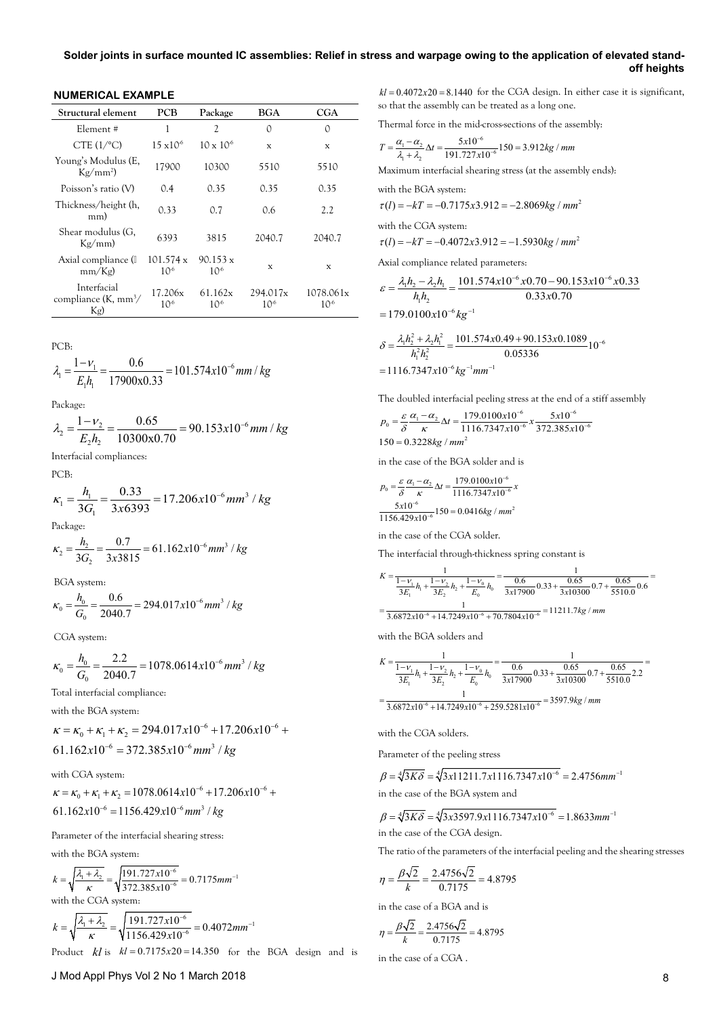**NUMERICAL EXAMPLE**

| Structural element                                  | PCB                        | Package                        | BGA                  | CGA                          |
|-----------------------------------------------------|----------------------------|--------------------------------|----------------------|------------------------------|
| Element#                                            | 1                          | 2                              | 0                    | 0                            |
| CTE $(1$ <sup>o</sup> C)                            | $15 \times 10^{6}$         | $10 \times 10^{6}$             | X                    | X                            |
| Young's Modulus (E,<br>$Kg/mm^2$                    | 17900                      | 10300                          | 5510                 | 5510                         |
| Poisson's ratio (V)                                 | 0.4                        | 0.35                           | 0.35                 | 0.35                         |
| Thickness/height (h,<br>mm)                         | 0.33                       | 0.7                            | 0.6                  | 2.2                          |
| Shear modulus (G,<br>Kg/mm                          | 6393                       | 3815                           | 2040.7               | 2040.7                       |
| Axial compliance (II)<br>mm/Kg                      | 101.574 x<br>$10^{6}$      | $90.153 \text{ x}$<br>$10^{6}$ | X                    | X                            |
| Interfacial<br>compliance $(K, \text{mm}^3)$<br>Kg) | 17.206x<br>10 <sup>6</sup> | 61.162x<br>$10^{6}$            | 294.017x<br>$10^{6}$ | 1078.061x<br>10 <sup>6</sup> |

PCB:

$$
\lambda_1 = \frac{1 - v_1}{E_1 h_1} = \frac{0.6}{17900 \times 0.33} = 101.574 \times 10^{-6} \, \text{mm} / \, \text{kg}
$$

Package:

$$
\lambda_2 = \frac{1 - v_2}{E_2 h_2} = \frac{0.65}{10300 \times 0.70} = 90.153 \times 10^{-6} \, \text{mm} \, / \, \text{kg}
$$

Interfacial compliances:

PCB:

$$
\kappa_1 = \frac{h_1}{3G_1} = \frac{0.33}{3x6393} = 17.206x10^{-6} \, \text{mm}^3 / \, \text{kg}
$$

Package:

$$
\kappa_2 = \frac{h_2}{3G_2} = \frac{0.7}{3x3815} = 61.162x10^{-6} \, \text{mm}^3 / \, \text{kg}
$$

BGA system:

$$
\kappa_0 = \frac{h_0}{G_0} = \frac{0.6}{2040.7} = 294.017 \times 10^{-6} \, \text{mm}^3 / \, \text{kg}
$$

CGA system:

$$
\kappa_0 = \frac{h_0}{G_0} = \frac{2.2}{2040.7} = 1078.0614 \times 10^{-6} \, \text{mm}^3 / \, \text{kg}
$$

Total interfacial compliance:

with the BGA system:

$$
\kappa = \kappa_0 + \kappa_1 + \kappa_2 = 294.017 \times 10^{-6} + 17.206 \times 10^{-6} + 61.162 \times 10^{-6} = 372.385 \times 10^{-6} \text{ mm}^3 / \text{ kg}
$$

with CGA system:

$$
\kappa = \kappa_0 + \kappa_1 + \kappa_2 = 1078.0614x10^{-6} + 17.206x10^{-6} + 61.162x10^{-6} = 1156.429x10^{-6} mm^3 / kg
$$

Parameter of the interfacial shearing stress:

with the BGA system:

$$
k = \sqrt{\frac{\lambda_1 + \lambda_2}{\kappa}} = \sqrt{\frac{191.727 \times 10^{-6}}{372.385 \times 10^{-6}}} = 0.7175 \text{mm}^{-1}
$$

with the CGA system:

$$
k = \sqrt{\frac{\lambda_1 + \lambda_2}{\kappa}} = \sqrt{\frac{191.727 \times 10^{-6}}{1156.429 \times 10^{-6}}} = 0.4072 \text{mm}^{-1}
$$

Product  $k$ *l* is  $k$  = 0.7175x20 = 14.350 for the BGA design and is

 $kl = 0.4072x20 = 8.1440$  for the CGA design. In either case it is significant, so that the assembly can be treated as a long one.

Thermal force in the mid-cross-sections of the assembly:

$$
T = \frac{\alpha_1 - \alpha_2}{\lambda_1 + \lambda_2} \Delta t = \frac{5x10^{-6}}{191.727x10^{-6}} 150 = 3.912 \text{kg / mm}
$$

Maximum interfacial shearing stress (at the assembly ends):

with the BGA system:  

$$
\tau(l) = -kT = -0.7175x
$$

$$
(l) = -kT = -0.7175x3.912 = -2.8069kg / mm2
$$

with the CGA system:

$$
\tau(l) = -kT = -0.4072x3.912 = -1.5930kg / mm^{2}
$$

Axial compliance related parameters:

$$
\varepsilon = \frac{\lambda_1 h_2 - \lambda_2 h_1}{h_1 h_2} = \frac{101.574 \times 10^{-6} \times 0.70 - 90.153 \times 10^{-6} \times 0.33}{0.33 \times 0.70}
$$
  
= 179.0100 $\times 10^{-6}$  kg<sup>-1</sup>

$$
\delta = \frac{\lambda_1 h_2^2 + \lambda_2 h_1^2}{h_1^2 h_2^2} = \frac{101.574x0.49 + 90.153x0.1089}{0.05336} 10^{-6}
$$

$$
= 1116.7347x10^{-6} kg^{-1}mm^{-1}
$$

The doubled interfacial peeling stress at the end of a stiff assembly

$$
p_0 = \frac{\varepsilon \alpha_1 - \alpha_2}{\delta} \Delta t = \frac{179.0100 \times 10^{-6}}{1116.7347 \times 10^{-6}} \times \frac{5 \times 10^{-6}}{372.385 \times 10^{-6}}
$$
  
150 = 0.3228kg / mm<sup>2</sup>

in the case of the BGA solder and is

$$
p_0 = \frac{\varepsilon \alpha_1 - \alpha_2}{\delta} \Delta t = \frac{179.0100 \times 10^{-6}}{1116.7347 \times 10^{-6}} \times \frac{5 \times 10^{-6}}{1156.429 \times 10^{-6}} 150 = 0.0416 kg / mm^2
$$

in the case of the CGA solder.

The interfacial through-thickness spring constant is

$$
K = \frac{1}{\frac{1 - v_1}{3E_1}h_1 + \frac{1 - v_2}{3E_2}h_2 + \frac{1 - v_0}{E_0}h_0} = \frac{1}{\frac{0.6}{3x17900}0.33 + \frac{0.65}{3x10300}0.7 + \frac{0.65}{5510.0}0.6} = \frac{1}{3.6872 \times 10^{-6} + 14.7249 \times 10^{-6} + 70.7804 \times 10^{-6}} = 11211.7 \text{kg } / \text{mm}
$$

with the BGA solders and

$$
K = \frac{1}{\frac{1 - v_1}{3E_1}h_1 + \frac{1 - v_2}{3E_2}h_2 + \frac{1 - v_0}{E_0}h_0} = \frac{1}{\frac{0.6}{3x17900}0.33 + \frac{0.65}{3x10300}0.7 + \frac{0.65}{5510.0}2.2} = \frac{1}{3.6872x10^{-6} + 14.7249x10^{-6} + 259.5281x10^{-6}} = 3597.9kg / mm
$$

with the CGA solders.

Parameter of the peeling stress

$$
\beta = \sqrt[4]{3K\delta} = \sqrt[4]{3x11211.7x1116.7347x10^{-6}} = 2.4756 \text{mm}^{-1}
$$
  
in the case of the BGA system and

$$
\beta = \sqrt[4]{3K\delta} = \sqrt[4]{3x3597.9x1116.7347x10^{-6}} = 1.8633mm^{-1}
$$
  
in the case of the CGA design.

The ratio of the parameters of the interfacial peeling and the shearing stresses

$$
\eta = \frac{\beta\sqrt{2}}{k} = \frac{2.4756\sqrt{2}}{0.7175} = 4.8795
$$

in the case of a BGA and is

$$
\eta = \frac{\beta\sqrt{2}}{k} = \frac{2.4756\sqrt{2}}{0.7175} = 4.8795
$$

in the case of a CGA .